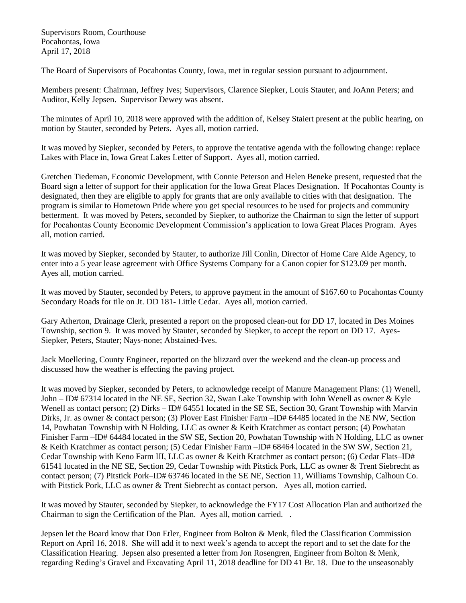Supervisors Room, Courthouse Pocahontas, Iowa April 17, 2018

The Board of Supervisors of Pocahontas County, Iowa, met in regular session pursuant to adjournment.

Members present: Chairman, Jeffrey Ives; Supervisors, Clarence Siepker, Louis Stauter, and JoAnn Peters; and Auditor, Kelly Jepsen. Supervisor Dewey was absent.

The minutes of April 10, 2018 were approved with the addition of, Kelsey Staiert present at the public hearing, on motion by Stauter, seconded by Peters. Ayes all, motion carried.

It was moved by Siepker, seconded by Peters, to approve the tentative agenda with the following change: replace Lakes with Place in, Iowa Great Lakes Letter of Support. Ayes all, motion carried.

Gretchen Tiedeman, Economic Development, with Connie Peterson and Helen Beneke present, requested that the Board sign a letter of support for their application for the Iowa Great Places Designation. If Pocahontas County is designated, then they are eligible to apply for grants that are only available to cities with that designation. The program is similar to Hometown Pride where you get special resources to be used for projects and community betterment. It was moved by Peters, seconded by Siepker, to authorize the Chairman to sign the letter of support for Pocahontas County Economic Development Commission's application to Iowa Great Places Program. Ayes all, motion carried.

It was moved by Siepker, seconded by Stauter, to authorize Jill Conlin, Director of Home Care Aide Agency, to enter into a 5 year lease agreement with Office Systems Company for a Canon copier for \$123.09 per month. Ayes all, motion carried.

It was moved by Stauter, seconded by Peters, to approve payment in the amount of \$167.60 to Pocahontas County Secondary Roads for tile on Jt. DD 181- Little Cedar. Ayes all, motion carried.

Gary Atherton, Drainage Clerk, presented a report on the proposed clean-out for DD 17, located in Des Moines Township, section 9. It was moved by Stauter, seconded by Siepker, to accept the report on DD 17. Ayes-Siepker, Peters, Stauter; Nays-none; Abstained-Ives.

Jack Moellering, County Engineer, reported on the blizzard over the weekend and the clean-up process and discussed how the weather is effecting the paving project.

It was moved by Siepker, seconded by Peters, to acknowledge receipt of Manure Management Plans: (1) Wenell, John – ID# 67314 located in the NE SE, Section 32, Swan Lake Township with John Wenell as owner & Kyle Wenell as contact person; (2) Dirks – ID# 64551 located in the SE SE, Section 30, Grant Township with Marvin Dirks, Jr. as owner & contact person; (3) Plover East Finisher Farm –ID# 64485 located in the NE NW, Section 14, Powhatan Township with N Holding, LLC as owner & Keith Kratchmer as contact person; (4) Powhatan Finisher Farm –ID# 64484 located in the SW SE, Section 20, Powhatan Township with N Holding, LLC as owner & Keith Kratchmer as contact person; (5) Cedar Finisher Farm –ID# 68464 located in the SW SW, Section 21, Cedar Township with Keno Farm III, LLC as owner & Keith Kratchmer as contact person; (6) Cedar Flats–ID# 61541 located in the NE SE, Section 29, Cedar Township with Pitstick Pork, LLC as owner & Trent Siebrecht as contact person; (7) Pitstick Pork–ID# 63746 located in the SE NE, Section 11, Williams Township, Calhoun Co. with Pitstick Pork, LLC as owner & Trent Siebrecht as contact person. Ayes all, motion carried.

It was moved by Stauter, seconded by Siepker, to acknowledge the FY17 Cost Allocation Plan and authorized the Chairman to sign the Certification of the Plan. Ayes all, motion carried. .

Jepsen let the Board know that Don Etler, Engineer from Bolton & Menk, filed the Classification Commission Report on April 16, 2018. She will add it to next week's agenda to accept the report and to set the date for the Classification Hearing. Jepsen also presented a letter from Jon Rosengren, Engineer from Bolton & Menk, regarding Reding's Gravel and Excavating April 11, 2018 deadline for DD 41 Br. 18. Due to the unseasonably